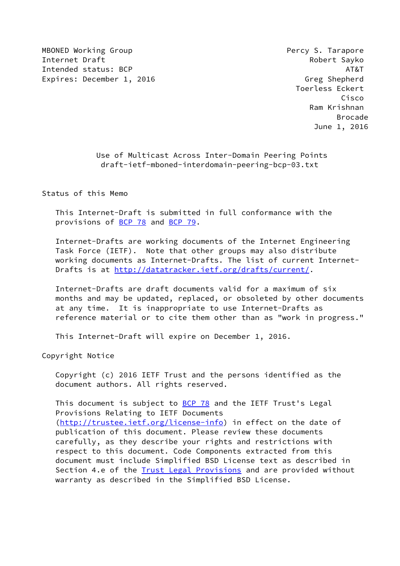MBONED Working Group **Percy S. Tarapore Percy S. Tarapore** Internet Draft **Robert Sayko** Intended status: BCP AT&T AT&T AT&T AT&T Expires: December 1, 2016 Greg Shepherd

 Toerless Eckert Cisco Ram Krishnan en de la construction de la construction de la construction de la construction de la construction de la constr June 1, 2016

> Use of Multicast Across Inter-Domain Peering Points draft-ietf-mboned-interdomain-peering-bcp-03.txt

Status of this Memo

 This Internet-Draft is submitted in full conformance with the provisions of [BCP 78](https://datatracker.ietf.org/doc/pdf/bcp78) and [BCP 79](https://datatracker.ietf.org/doc/pdf/bcp79).

 Internet-Drafts are working documents of the Internet Engineering Task Force (IETF). Note that other groups may also distribute working documents as Internet-Drafts. The list of current Internet- Drafts is at<http://datatracker.ietf.org/drafts/current/>.

 Internet-Drafts are draft documents valid for a maximum of six months and may be updated, replaced, or obsoleted by other documents at any time. It is inappropriate to use Internet-Drafts as reference material or to cite them other than as "work in progress."

This Internet-Draft will expire on December 1, 2016.

Copyright Notice

 Copyright (c) 2016 IETF Trust and the persons identified as the document authors. All rights reserved.

This document is subject to **[BCP 78](https://datatracker.ietf.org/doc/pdf/bcp78)** and the IETF Trust's Legal Provisions Relating to IETF Documents [\(http://trustee.ietf.org/license-info](http://trustee.ietf.org/license-info)) in effect on the date of publication of this document. Please review these documents carefully, as they describe your rights and restrictions with respect to this document. Code Components extracted from this document must include Simplified BSD License text as described in Section 4.e of the [Trust Legal Provisions](https://trustee.ietf.org/license-info) and are provided without warranty as described in the Simplified BSD License.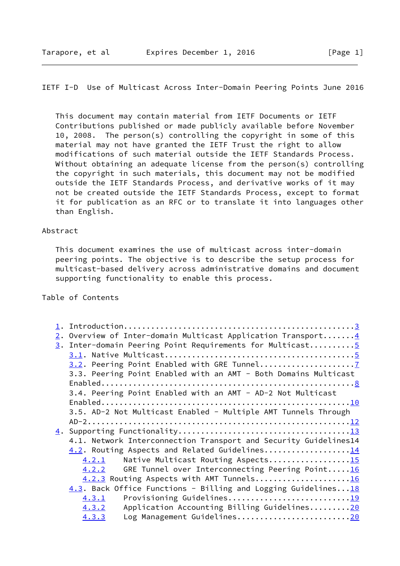## IETF I-D Use of Multicast Across Inter-Domain Peering Points June 2016

 This document may contain material from IETF Documents or IETF Contributions published or made publicly available before November 10, 2008. The person(s) controlling the copyright in some of this material may not have granted the IETF Trust the right to allow modifications of such material outside the IETF Standards Process. Without obtaining an adequate license from the person(s) controlling the copyright in such materials, this document may not be modified outside the IETF Standards Process, and derivative works of it may not be created outside the IETF Standards Process, except to format it for publication as an RFC or to translate it into languages other than English.

#### Abstract

 This document examines the use of multicast across inter-domain peering points. The objective is to describe the setup process for multicast-based delivery across administrative domains and document supporting functionality to enable this process.

# Table of Contents

|  | 2. Overview of Inter-domain Multicast Application Transport 4       |
|--|---------------------------------------------------------------------|
|  | 3. Inter-domain Peering Point Requirements for Multicast5           |
|  |                                                                     |
|  |                                                                     |
|  | 3.3. Peering Point Enabled with an AMT - Both Domains Multicast     |
|  |                                                                     |
|  | 3.4. Peering Point Enabled with an AMT - AD-2 Not Multicast         |
|  |                                                                     |
|  | 3.5. AD-2 Not Multicast Enabled - Multiple AMT Tunnels Through      |
|  |                                                                     |
|  |                                                                     |
|  | 4.1. Network Interconnection Transport and Security Guidelines14    |
|  | 4.2. Routing Aspects and Related Guidelines14                       |
|  | Native Multicast Routing Aspects15<br>4.2.1                         |
|  | GRE Tunnel over Interconnecting Peering Point16<br>4.2.2            |
|  | 4.2.3 Routing Aspects with AMT Tunnels16                            |
|  | $4.3$ . Back Office Functions - Billing and Logging Guidelines $18$ |
|  | Provisioning Guidelines19<br>4.3.1                                  |
|  | Application Accounting Billing Guidelines20<br>4.3.2                |
|  | Log Management Guidelines20<br>4.3.3                                |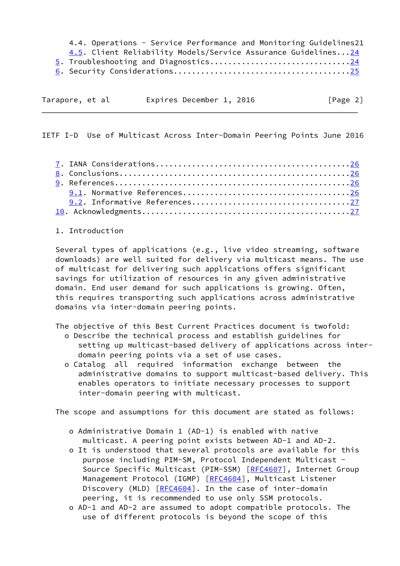4.4. Operations - Service Performance and Monitoring Guidelines21 4.5. Client Reliability Models/Service Assurance Guidelines..[.24](#page-24-0) 5. Troubleshooting and Diagnostics..............................[.24](#page-24-0) 6. Security Considerations......................................[.25](#page-25-0)

| Tarapore, et al |  | Expires December 1, 2016 |  | [Page 2] |
|-----------------|--|--------------------------|--|----------|

<span id="page-2-0"></span>IETF I-D Use of Multicast Across Inter-Domain Peering Points June 2016

1. Introduction

 Several types of applications (e.g., live video streaming, software downloads) are well suited for delivery via multicast means. The use of multicast for delivering such applications offers significant savings for utilization of resources in any given administrative domain. End user demand for such applications is growing. Often, this requires transporting such applications across administrative domains via inter-domain peering points.

The objective of this Best Current Practices document is twofold:

- o Describe the technical process and establish guidelines for setting up multicast-based delivery of applications across inter domain peering points via a set of use cases.
- o Catalog all required information exchange between the administrative domains to support multicast-based delivery. This enables operators to initiate necessary processes to support inter-domain peering with multicast.

The scope and assumptions for this document are stated as follows:

- o Administrative Domain 1 (AD-1) is enabled with native multicast. A peering point exists between AD-1 and AD-2.
- o It is understood that several protocols are available for this purpose including PIM-SM, Protocol Independent Multicast - Source Specific Multicast (PIM-SSM) [[RFC4607](https://datatracker.ietf.org/doc/pdf/rfc4607)], Internet Group Management Protocol (IGMP) [\[RFC4604](https://datatracker.ietf.org/doc/pdf/rfc4604)], Multicast Listener Discovery (MLD) [[RFC4604](https://datatracker.ietf.org/doc/pdf/rfc4604)]. In the case of inter-domain peering, it is recommended to use only SSM protocols.
- o AD-1 and AD-2 are assumed to adopt compatible protocols. The use of different protocols is beyond the scope of this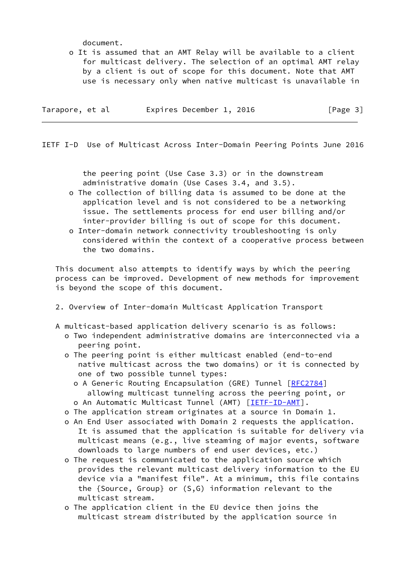document.

 o It is assumed that an AMT Relay will be available to a client for multicast delivery. The selection of an optimal AMT relay by a client is out of scope for this document. Note that AMT use is necessary only when native multicast is unavailable in

| Expires December 1, 2016<br>Tarapore, et al | [Page 3] |
|---------------------------------------------|----------|
|---------------------------------------------|----------|

<span id="page-3-0"></span>IETF I-D Use of Multicast Across Inter-Domain Peering Points June 2016

 the peering point (Use Case 3.3) or in the downstream administrative domain (Use Cases 3.4, and 3.5).

- o The collection of billing data is assumed to be done at the application level and is not considered to be a networking issue. The settlements process for end user billing and/or inter-provider billing is out of scope for this document.
- o Inter-domain network connectivity troubleshooting is only considered within the context of a cooperative process between the two domains.

 This document also attempts to identify ways by which the peering process can be improved. Development of new methods for improvement is beyond the scope of this document.

- 2. Overview of Inter-domain Multicast Application Transport
- A multicast-based application delivery scenario is as follows:
	- o Two independent administrative domains are interconnected via a peering point.
	- o The peering point is either multicast enabled (end-to-end native multicast across the two domains) or it is connected by one of two possible tunnel types:
		- o A Generic Routing Encapsulation (GRE) Tunnel [[RFC2784\]](https://datatracker.ietf.org/doc/pdf/rfc2784) allowing multicast tunneling across the peering point, or o An Automatic Multicast Tunnel (AMT) [[IETF-ID-AMT](#page-27-1)].
	- o The application stream originates at a source in Domain 1.
	- o An End User associated with Domain 2 requests the application. It is assumed that the application is suitable for delivery via multicast means (e.g., live steaming of major events, software downloads to large numbers of end user devices, etc.)
	- o The request is communicated to the application source which provides the relevant multicast delivery information to the EU device via a "manifest file". At a minimum, this file contains the {Source, Group} or (S,G) information relevant to the multicast stream.
	- o The application client in the EU device then joins the multicast stream distributed by the application source in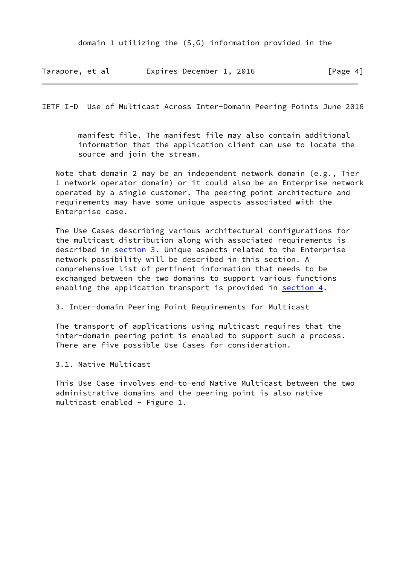| Tarapore, et al | Expires December 1, 2016 | [Page 4] |
|-----------------|--------------------------|----------|
|                 |                          |          |

<span id="page-4-0"></span>IETF I-D Use of Multicast Across Inter-Domain Peering Points June 2016

 manifest file. The manifest file may also contain additional information that the application client can use to locate the source and join the stream.

 Note that domain 2 may be an independent network domain (e.g., Tier 1 network operator domain) or it could also be an Enterprise network operated by a single customer. The peering point architecture and requirements may have some unique aspects associated with the Enterprise case.

 The Use Cases describing various architectural configurations for the multicast distribution along with associated requirements is described in section 3. Unique aspects related to the Enterprise network possibility will be described in this section. A comprehensive list of pertinent information that needs to be exchanged between the two domains to support various functions enabling the application transport is provided in section 4.

3. Inter-domain Peering Point Requirements for Multicast

 The transport of applications using multicast requires that the inter-domain peering point is enabled to support such a process. There are five possible Use Cases for consideration.

3.1. Native Multicast

 This Use Case involves end-to-end Native Multicast between the two administrative domains and the peering point is also native multicast enabled - Figure 1.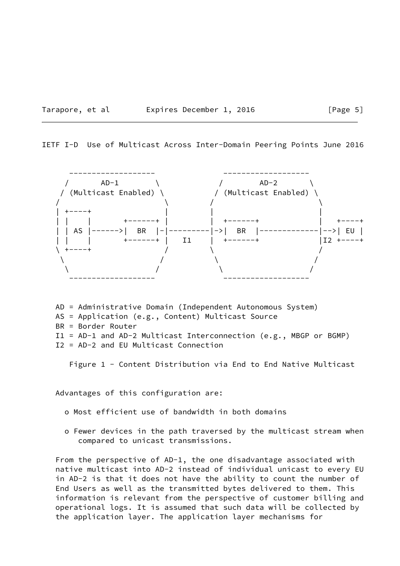#### Tarapore, et al expires December 1, 2016 [Page 5]

IETF I-D Use of Multicast Across Inter-Domain Peering Points June 2016



 AD = Administrative Domain (Independent Autonomous System) AS = Application (e.g., Content) Multicast Source BR = Border Router I1 = AD-1 and AD-2 Multicast Interconnection (e.g., MBGP or BGMP) I2 = AD-2 and EU Multicast Connection

Figure 1 - Content Distribution via End to End Native Multicast

Advantages of this configuration are:

o Most efficient use of bandwidth in both domains

 o Fewer devices in the path traversed by the multicast stream when compared to unicast transmissions.

 From the perspective of AD-1, the one disadvantage associated with native multicast into AD-2 instead of individual unicast to every EU in AD-2 is that it does not have the ability to count the number of End Users as well as the transmitted bytes delivered to them. This information is relevant from the perspective of customer billing and operational logs. It is assumed that such data will be collected by the application layer. The application layer mechanisms for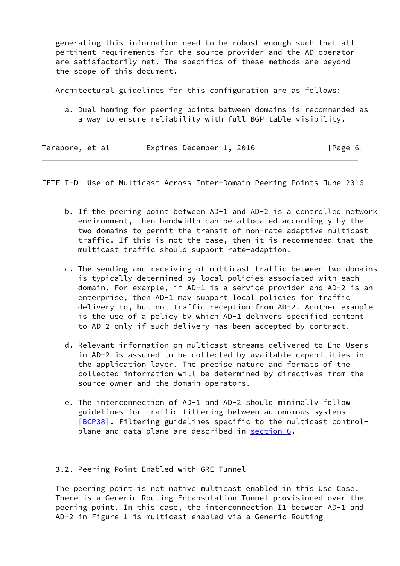generating this information need to be robust enough such that all pertinent requirements for the source provider and the AD operator are satisfactorily met. The specifics of these methods are beyond the scope of this document.

Architectural guidelines for this configuration are as follows:

 a. Dual homing for peering points between domains is recommended as a way to ensure reliability with full BGP table visibility.

| Tarapore, et al | Expires December 1, 2016 | [Page 6] |
|-----------------|--------------------------|----------|
|                 |                          |          |

<span id="page-6-0"></span>IETF I-D Use of Multicast Across Inter-Domain Peering Points June 2016

- b. If the peering point between AD-1 and AD-2 is a controlled network environment, then bandwidth can be allocated accordingly by the two domains to permit the transit of non-rate adaptive multicast traffic. If this is not the case, then it is recommended that the multicast traffic should support rate-adaption.
- c. The sending and receiving of multicast traffic between two domains is typically determined by local policies associated with each domain. For example, if AD-1 is a service provider and AD-2 is an enterprise, then AD-1 may support local policies for traffic delivery to, but not traffic reception from AD-2. Another example is the use of a policy by which AD-1 delivers specified content to AD-2 only if such delivery has been accepted by contract.
- d. Relevant information on multicast streams delivered to End Users in AD-2 is assumed to be collected by available capabilities in the application layer. The precise nature and formats of the collected information will be determined by directives from the source owner and the domain operators.
- e. The interconnection of AD-1 and AD-2 should minimally follow guidelines for traffic filtering between autonomous systems [\[BCP38\]](#page-27-2). Filtering guidelines specific to the multicast controlplane and data-plane are described in section 6.

## 3.2. Peering Point Enabled with GRE Tunnel

 The peering point is not native multicast enabled in this Use Case. There is a Generic Routing Encapsulation Tunnel provisioned over the peering point. In this case, the interconnection I1 between AD-1 and AD-2 in Figure 1 is multicast enabled via a Generic Routing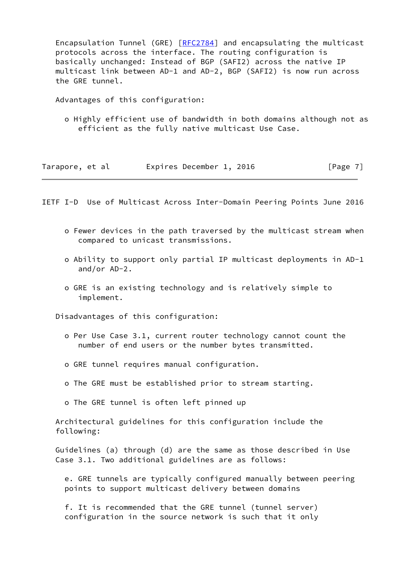Encapsulation Tunnel (GRE) [[RFC2784\]](https://datatracker.ietf.org/doc/pdf/rfc2784) and encapsulating the multicast protocols across the interface. The routing configuration is basically unchanged: Instead of BGP (SAFI2) across the native IP multicast link between AD-1 and AD-2, BGP (SAFI2) is now run across the GRE tunnel.

Advantages of this configuration:

 o Highly efficient use of bandwidth in both domains although not as efficient as the fully native multicast Use Case.

| Tarapore, et al | Expires December 1, 2016 | [Page 7] |
|-----------------|--------------------------|----------|
|-----------------|--------------------------|----------|

<span id="page-7-0"></span>IETF I-D Use of Multicast Across Inter-Domain Peering Points June 2016

- o Fewer devices in the path traversed by the multicast stream when compared to unicast transmissions.
- o Ability to support only partial IP multicast deployments in AD-1 and/or AD-2.
- o GRE is an existing technology and is relatively simple to implement.

Disadvantages of this configuration:

- o Per Use Case 3.1, current router technology cannot count the number of end users or the number bytes transmitted.
- o GRE tunnel requires manual configuration.
- o The GRE must be established prior to stream starting.
- o The GRE tunnel is often left pinned up

 Architectural guidelines for this configuration include the following:

 Guidelines (a) through (d) are the same as those described in Use Case 3.1. Two additional guidelines are as follows:

 e. GRE tunnels are typically configured manually between peering points to support multicast delivery between domains

 f. It is recommended that the GRE tunnel (tunnel server) configuration in the source network is such that it only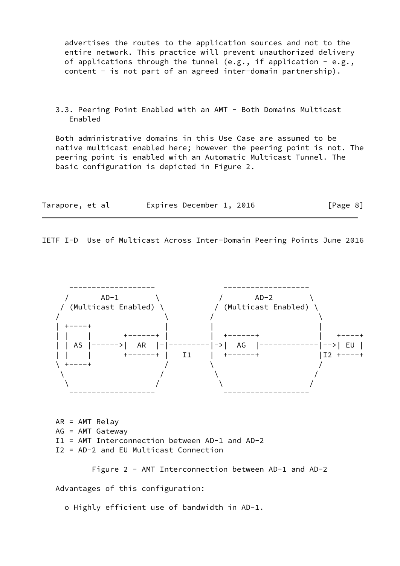advertises the routes to the application sources and not to the entire network. This practice will prevent unauthorized delivery of applications through the tunnel (e.g., if application - e.g., content - is not part of an agreed inter-domain partnership).

 3.3. Peering Point Enabled with an AMT - Both Domains Multicast Enabled

 Both administrative domains in this Use Case are assumed to be native multicast enabled here; however the peering point is not. The peering point is enabled with an Automatic Multicast Tunnel. The basic configuration is depicted in Figure 2.

| Tarapore, et al | Expires December 1, 2016 |  | [Page 8] |
|-----------------|--------------------------|--|----------|
|-----------------|--------------------------|--|----------|

IETF I-D Use of Multicast Across Inter-Domain Peering Points June 2016



 AR = AMT Relay AG = AMT Gateway I1 = AMT Interconnection between AD-1 and AD-2 I2 = AD-2 and EU Multicast Connection

Figure 2 - AMT Interconnection between AD-1 and AD-2

Advantages of this configuration:

o Highly efficient use of bandwidth in AD-1.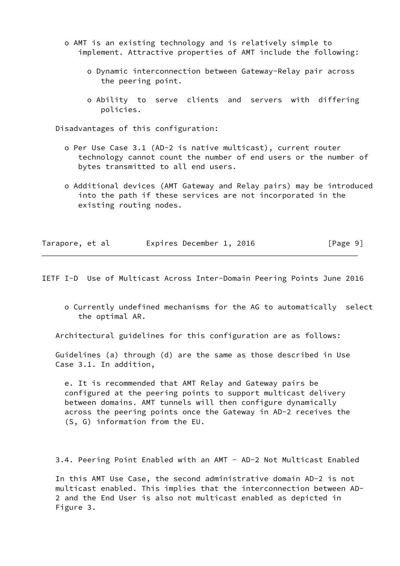- o AMT is an existing technology and is relatively simple to implement. Attractive properties of AMT include the following:
	- o Dynamic interconnection between Gateway-Relay pair across the peering point.
	- o Ability to serve clients and servers with differing policies.

Disadvantages of this configuration:

- o Per Use Case 3.1 (AD-2 is native multicast), current router technology cannot count the number of end users or the number of bytes transmitted to all end users.
- o Additional devices (AMT Gateway and Relay pairs) may be introduced into the path if these services are not incorporated in the existing routing nodes.

|  | Tarapore, et al | Expires December 1, 2016 | [Page 9] |
|--|-----------------|--------------------------|----------|
|--|-----------------|--------------------------|----------|

<span id="page-9-0"></span>IETF I-D Use of Multicast Across Inter-Domain Peering Points June 2016

 o Currently undefined mechanisms for the AG to automatically select the optimal AR.

Architectural guidelines for this configuration are as follows:

 Guidelines (a) through (d) are the same as those described in Use Case 3.1. In addition,

 e. It is recommended that AMT Relay and Gateway pairs be configured at the peering points to support multicast delivery between domains. AMT tunnels will then configure dynamically across the peering points once the Gateway in AD-2 receives the (S, G) information from the EU.

3.4. Peering Point Enabled with an AMT - AD-2 Not Multicast Enabled

 In this AMT Use Case, the second administrative domain AD-2 is not multicast enabled. This implies that the interconnection between AD- 2 and the End User is also not multicast enabled as depicted in Figure 3.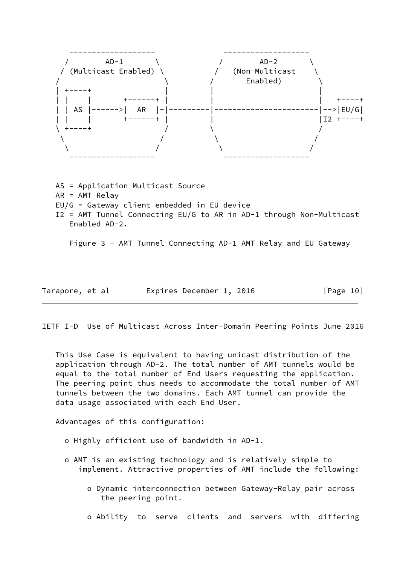

 AS = Application Multicast Source AR = AMT Relay EU/G = Gateway client embedded in EU device I2 = AMT Tunnel Connecting EU/G to AR in AD-1 through Non-Multicast Enabled AD-2.

Figure 3 - AMT Tunnel Connecting AD-1 AMT Relay and EU Gateway

| Tarapore, et al |  | Expires December 1, 2016 |  |  | [Page 10] |  |
|-----------------|--|--------------------------|--|--|-----------|--|
|-----------------|--|--------------------------|--|--|-----------|--|

IETF I-D Use of Multicast Across Inter-Domain Peering Points June 2016

 This Use Case is equivalent to having unicast distribution of the application through AD-2. The total number of AMT tunnels would be equal to the total number of End Users requesting the application. The peering point thus needs to accommodate the total number of AMT tunnels between the two domains. Each AMT tunnel can provide the data usage associated with each End User.

Advantages of this configuration:

- o Highly efficient use of bandwidth in AD-1.
- o AMT is an existing technology and is relatively simple to implement. Attractive properties of AMT include the following:
	- o Dynamic interconnection between Gateway-Relay pair across the peering point.
	- o Ability to serve clients and servers with differing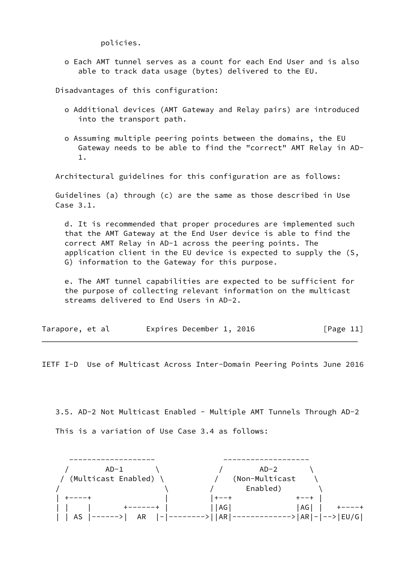policies.

 o Each AMT tunnel serves as a count for each End User and is also able to track data usage (bytes) delivered to the EU.

Disadvantages of this configuration:

- o Additional devices (AMT Gateway and Relay pairs) are introduced into the transport path.
- o Assuming multiple peering points between the domains, the EU Gateway needs to be able to find the "correct" AMT Relay in AD- 1.

Architectural guidelines for this configuration are as follows:

 Guidelines (a) through (c) are the same as those described in Use Case 3.1.

 d. It is recommended that proper procedures are implemented such that the AMT Gateway at the End User device is able to find the correct AMT Relay in AD-1 across the peering points. The application client in the EU device is expected to supply the (S, G) information to the Gateway for this purpose.

 e. The AMT tunnel capabilities are expected to be sufficient for the purpose of collecting relevant information on the multicast streams delivered to End Users in AD-2.

| Tarapore, et al |  |  | Expires December 1, 2016 |  |  | [Page 11] |  |  |
|-----------------|--|--|--------------------------|--|--|-----------|--|--|
|-----------------|--|--|--------------------------|--|--|-----------|--|--|

<span id="page-11-0"></span>IETF I-D Use of Multicast Across Inter-Domain Peering Points June 2016

 3.5. AD-2 Not Multicast Enabled - Multiple AMT Tunnels Through AD-2 This is a variation of Use Case 3.4 as follows:

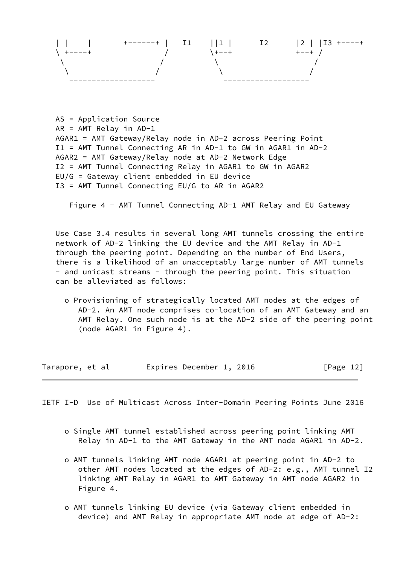

 AS = Application Source AR = AMT Relay in AD-1 AGAR1 = AMT Gateway/Relay node in AD-2 across Peering Point I1 = AMT Tunnel Connecting AR in AD-1 to GW in AGAR1 in AD-2 AGAR2 = AMT Gateway/Relay node at AD-2 Network Edge I2 = AMT Tunnel Connecting Relay in AGAR1 to GW in AGAR2 EU/G = Gateway client embedded in EU device I3 = AMT Tunnel Connecting EU/G to AR in AGAR2

Figure 4 - AMT Tunnel Connecting AD-1 AMT Relay and EU Gateway

 Use Case 3.4 results in several long AMT tunnels crossing the entire network of AD-2 linking the EU device and the AMT Relay in AD-1 through the peering point. Depending on the number of End Users, there is a likelihood of an unacceptably large number of AMT tunnels - and unicast streams - through the peering point. This situation can be alleviated as follows:

 o Provisioning of strategically located AMT nodes at the edges of AD-2. An AMT node comprises co-location of an AMT Gateway and an AMT Relay. One such node is at the AD-2 side of the peering point (node AGAR1 in Figure 4).

| Tarapore, et al |  | Expires December 1, 2016 |  |  | [Page 12] |  |
|-----------------|--|--------------------------|--|--|-----------|--|
|-----------------|--|--------------------------|--|--|-----------|--|

<span id="page-12-0"></span>IETF I-D Use of Multicast Across Inter-Domain Peering Points June 2016

- o Single AMT tunnel established across peering point linking AMT Relay in AD-1 to the AMT Gateway in the AMT node AGAR1 in AD-2.
- o AMT tunnels linking AMT node AGAR1 at peering point in AD-2 to other AMT nodes located at the edges of AD-2: e.g., AMT tunnel I2 linking AMT Relay in AGAR1 to AMT Gateway in AMT node AGAR2 in Figure 4.
- o AMT tunnels linking EU device (via Gateway client embedded in device) and AMT Relay in appropriate AMT node at edge of AD-2: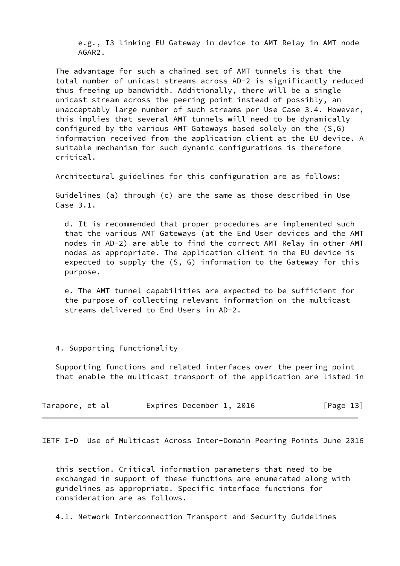e.g., I3 linking EU Gateway in device to AMT Relay in AMT node AGAR2.

 The advantage for such a chained set of AMT tunnels is that the total number of unicast streams across AD-2 is significantly reduced thus freeing up bandwidth. Additionally, there will be a single unicast stream across the peering point instead of possibly, an unacceptably large number of such streams per Use Case 3.4. However, this implies that several AMT tunnels will need to be dynamically configured by the various AMT Gateways based solely on the (S,G) information received from the application client at the EU device. A suitable mechanism for such dynamic configurations is therefore critical.

Architectural guidelines for this configuration are as follows:

 Guidelines (a) through (c) are the same as those described in Use Case 3.1.

 d. It is recommended that proper procedures are implemented such that the various AMT Gateways (at the End User devices and the AMT nodes in AD-2) are able to find the correct AMT Relay in other AMT nodes as appropriate. The application client in the EU device is expected to supply the (S, G) information to the Gateway for this purpose.

 e. The AMT tunnel capabilities are expected to be sufficient for the purpose of collecting relevant information on the multicast streams delivered to End Users in AD-2.

## 4. Supporting Functionality

 Supporting functions and related interfaces over the peering point that enable the multicast transport of the application are listed in

| Tarapore, et al |  |  |  | Expires December 1, 2016 |  |  | [Page 13] |  |  |
|-----------------|--|--|--|--------------------------|--|--|-----------|--|--|
|-----------------|--|--|--|--------------------------|--|--|-----------|--|--|

<span id="page-13-0"></span>IETF I-D Use of Multicast Across Inter-Domain Peering Points June 2016

 this section. Critical information parameters that need to be exchanged in support of these functions are enumerated along with guidelines as appropriate. Specific interface functions for consideration are as follows.

4.1. Network Interconnection Transport and Security Guidelines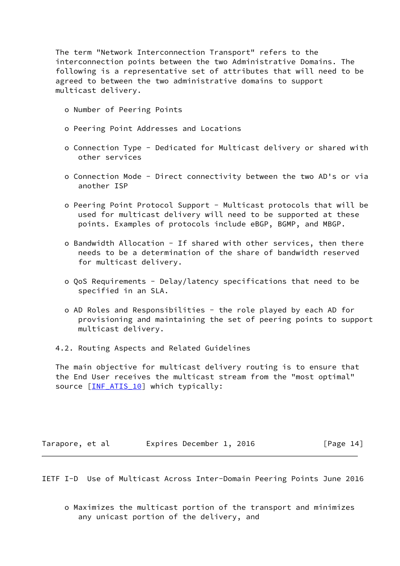The term "Network Interconnection Transport" refers to the interconnection points between the two Administrative Domains. The following is a representative set of attributes that will need to be agreed to between the two administrative domains to support multicast delivery.

- o Number of Peering Points
- o Peering Point Addresses and Locations
- o Connection Type Dedicated for Multicast delivery or shared with other services
- o Connection Mode Direct connectivity between the two AD's or via another ISP
- o Peering Point Protocol Support Multicast protocols that will be used for multicast delivery will need to be supported at these points. Examples of protocols include eBGP, BGMP, and MBGP.
- o Bandwidth Allocation If shared with other services, then there needs to be a determination of the share of bandwidth reserved for multicast delivery.
- o QoS Requirements Delay/latency specifications that need to be specified in an SLA.
- o AD Roles and Responsibilities the role played by each AD for provisioning and maintaining the set of peering points to support multicast delivery.
- 4.2. Routing Aspects and Related Guidelines

 The main objective for multicast delivery routing is to ensure that the End User receives the multicast stream from the "most optimal" source [\[INF\\_ATIS\\_10](#page-27-3)] which typically:

| Tarapore, et al |  | Expires December 1, 2016 |  |  | [Page 14] |
|-----------------|--|--------------------------|--|--|-----------|
|-----------------|--|--------------------------|--|--|-----------|

<span id="page-14-0"></span>IETF I-D Use of Multicast Across Inter-Domain Peering Points June 2016

 o Maximizes the multicast portion of the transport and minimizes any unicast portion of the delivery, and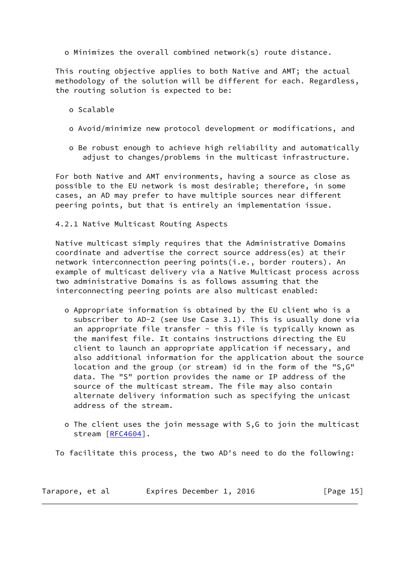o Minimizes the overall combined network(s) route distance.

 This routing objective applies to both Native and AMT; the actual methodology of the solution will be different for each. Regardless, the routing solution is expected to be:

- o Scalable
- o Avoid/minimize new protocol development or modifications, and
- o Be robust enough to achieve high reliability and automatically adjust to changes/problems in the multicast infrastructure.

 For both Native and AMT environments, having a source as close as possible to the EU network is most desirable; therefore, in some cases, an AD may prefer to have multiple sources near different peering points, but that is entirely an implementation issue.

4.2.1 Native Multicast Routing Aspects

 Native multicast simply requires that the Administrative Domains coordinate and advertise the correct source address(es) at their network interconnection peering points(i.e., border routers). An example of multicast delivery via a Native Multicast process across two administrative Domains is as follows assuming that the interconnecting peering points are also multicast enabled:

- o Appropriate information is obtained by the EU client who is a subscriber to AD-2 (see Use Case 3.1). This is usually done via an appropriate file transfer - this file is typically known as the manifest file. It contains instructions directing the EU client to launch an appropriate application if necessary, and also additional information for the application about the source location and the group (or stream) id in the form of the "S,G" data. The "S" portion provides the name or IP address of the source of the multicast stream. The file may also contain alternate delivery information such as specifying the unicast address of the stream.
- o The client uses the join message with S,G to join the multicast stream [[RFC4604\]](https://datatracker.ietf.org/doc/pdf/rfc4604).

To facilitate this process, the two AD's need to do the following:

Tarapore, et al expires December 1, 2016 [Page 15]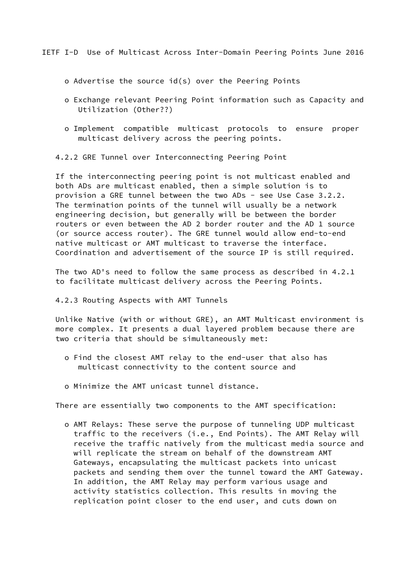<span id="page-16-0"></span>IETF I-D Use of Multicast Across Inter-Domain Peering Points June 2016

o Advertise the source id(s) over the Peering Points

- o Exchange relevant Peering Point information such as Capacity and Utilization (Other??)
- o Implement compatible multicast protocols to ensure proper multicast delivery across the peering points.
- 4.2.2 GRE Tunnel over Interconnecting Peering Point

 If the interconnecting peering point is not multicast enabled and both ADs are multicast enabled, then a simple solution is to provision a GRE tunnel between the two ADs - see Use Case 3.2.2. The termination points of the tunnel will usually be a network engineering decision, but generally will be between the border routers or even between the AD 2 border router and the AD 1 source (or source access router). The GRE tunnel would allow end-to-end native multicast or AMT multicast to traverse the interface. Coordination and advertisement of the source IP is still required.

 The two AD's need to follow the same process as described in 4.2.1 to facilitate multicast delivery across the Peering Points.

### 4.2.3 Routing Aspects with AMT Tunnels

 Unlike Native (with or without GRE), an AMT Multicast environment is more complex. It presents a dual layered problem because there are two criteria that should be simultaneously met:

- o Find the closest AMT relay to the end-user that also has multicast connectivity to the content source and
- o Minimize the AMT unicast tunnel distance.

There are essentially two components to the AMT specification:

 o AMT Relays: These serve the purpose of tunneling UDP multicast traffic to the receivers (i.e., End Points). The AMT Relay will receive the traffic natively from the multicast media source and will replicate the stream on behalf of the downstream AMT Gateways, encapsulating the multicast packets into unicast packets and sending them over the tunnel toward the AMT Gateway. In addition, the AMT Relay may perform various usage and activity statistics collection. This results in moving the replication point closer to the end user, and cuts down on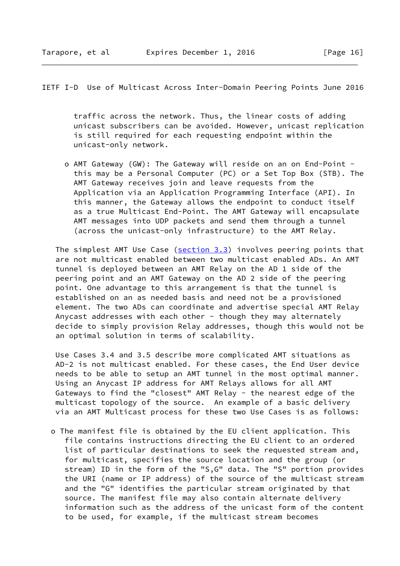IETF I-D Use of Multicast Across Inter-Domain Peering Points June 2016

 traffic across the network. Thus, the linear costs of adding unicast subscribers can be avoided. However, unicast replication is still required for each requesting endpoint within the unicast-only network.

 o AMT Gateway (GW): The Gateway will reside on an on End-Point this may be a Personal Computer (PC) or a Set Top Box (STB). The AMT Gateway receives join and leave requests from the Application via an Application Programming Interface (API). In this manner, the Gateway allows the endpoint to conduct itself as a true Multicast End-Point. The AMT Gateway will encapsulate AMT messages into UDP packets and send them through a tunnel (across the unicast-only infrastructure) to the AMT Relay.

The simplest AMT Use Case (section 3.3) involves peering points that are not multicast enabled between two multicast enabled ADs. An AMT tunnel is deployed between an AMT Relay on the AD 1 side of the peering point and an AMT Gateway on the AD 2 side of the peering point. One advantage to this arrangement is that the tunnel is established on an as needed basis and need not be a provisioned element. The two ADs can coordinate and advertise special AMT Relay Anycast addresses with each other - though they may alternately decide to simply provision Relay addresses, though this would not be an optimal solution in terms of scalability.

 Use Cases 3.4 and 3.5 describe more complicated AMT situations as AD-2 is not multicast enabled. For these cases, the End User device needs to be able to setup an AMT tunnel in the most optimal manner. Using an Anycast IP address for AMT Relays allows for all AMT Gateways to find the "closest" AMT Relay - the nearest edge of the multicast topology of the source. An example of a basic delivery via an AMT Multicast process for these two Use Cases is as follows:

 o The manifest file is obtained by the EU client application. This file contains instructions directing the EU client to an ordered list of particular destinations to seek the requested stream and, for multicast, specifies the source location and the group (or stream) ID in the form of the "S,G" data. The "S" portion provides the URI (name or IP address) of the source of the multicast stream and the "G" identifies the particular stream originated by that source. The manifest file may also contain alternate delivery information such as the address of the unicast form of the content to be used, for example, if the multicast stream becomes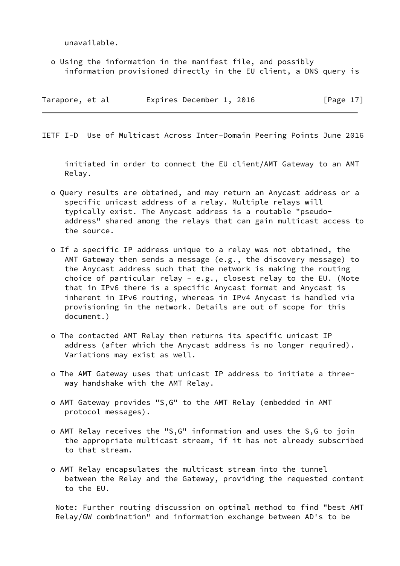unavailable.

 o Using the information in the manifest file, and possibly information provisioned directly in the EU client, a DNS query is

| Tarapore, et al |  | Expires December 1, 2016 |  | [Page $17$ ] |
|-----------------|--|--------------------------|--|--------------|
|                 |  |                          |  |              |

<span id="page-18-0"></span>IETF I-D Use of Multicast Across Inter-Domain Peering Points June 2016

 initiated in order to connect the EU client/AMT Gateway to an AMT Relay.

- o Query results are obtained, and may return an Anycast address or a specific unicast address of a relay. Multiple relays will typically exist. The Anycast address is a routable "pseudo address" shared among the relays that can gain multicast access to the source.
- o If a specific IP address unique to a relay was not obtained, the AMT Gateway then sends a message (e.g., the discovery message) to the Anycast address such that the network is making the routing choice of particular relay - e.g., closest relay to the EU. (Note that in IPv6 there is a specific Anycast format and Anycast is inherent in IPv6 routing, whereas in IPv4 Anycast is handled via provisioning in the network. Details are out of scope for this document.)
- o The contacted AMT Relay then returns its specific unicast IP address (after which the Anycast address is no longer required). Variations may exist as well.
- o The AMT Gateway uses that unicast IP address to initiate a three way handshake with the AMT Relay.
- o AMT Gateway provides "S,G" to the AMT Relay (embedded in AMT protocol messages).
- o AMT Relay receives the "S,G" information and uses the S,G to join the appropriate multicast stream, if it has not already subscribed to that stream.
- o AMT Relay encapsulates the multicast stream into the tunnel between the Relay and the Gateway, providing the requested content to the EU.

 Note: Further routing discussion on optimal method to find "best AMT Relay/GW combination" and information exchange between AD's to be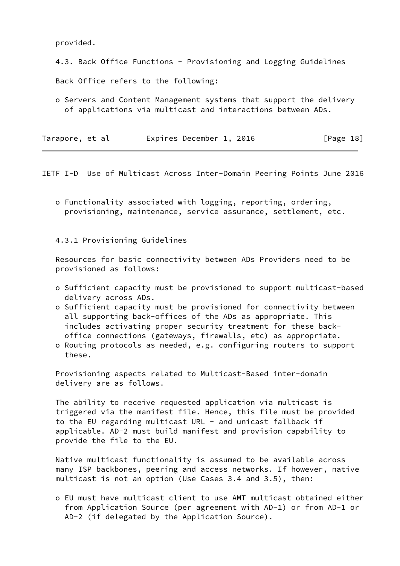provided.

4.3. Back Office Functions - Provisioning and Logging Guidelines

Back Office refers to the following:

 o Servers and Content Management systems that support the delivery of applications via multicast and interactions between ADs.

| Tarapore, et al | Expires December 1, 2016 | [Page 18] |
|-----------------|--------------------------|-----------|
|-----------------|--------------------------|-----------|

<span id="page-19-0"></span>IETF I-D Use of Multicast Across Inter-Domain Peering Points June 2016

 o Functionality associated with logging, reporting, ordering, provisioning, maintenance, service assurance, settlement, etc.

4.3.1 Provisioning Guidelines

 Resources for basic connectivity between ADs Providers need to be provisioned as follows:

- o Sufficient capacity must be provisioned to support multicast-based delivery across ADs.
- o Sufficient capacity must be provisioned for connectivity between all supporting back-offices of the ADs as appropriate. This includes activating proper security treatment for these back office connections (gateways, firewalls, etc) as appropriate.
- o Routing protocols as needed, e.g. configuring routers to support these.

 Provisioning aspects related to Multicast-Based inter-domain delivery are as follows.

 The ability to receive requested application via multicast is triggered via the manifest file. Hence, this file must be provided to the EU regarding multicast URL - and unicast fallback if applicable. AD-2 must build manifest and provision capability to provide the file to the EU.

 Native multicast functionality is assumed to be available across many ISP backbones, peering and access networks. If however, native multicast is not an option (Use Cases 3.4 and 3.5), then:

 o EU must have multicast client to use AMT multicast obtained either from Application Source (per agreement with AD-1) or from AD-1 or AD-2 (if delegated by the Application Source).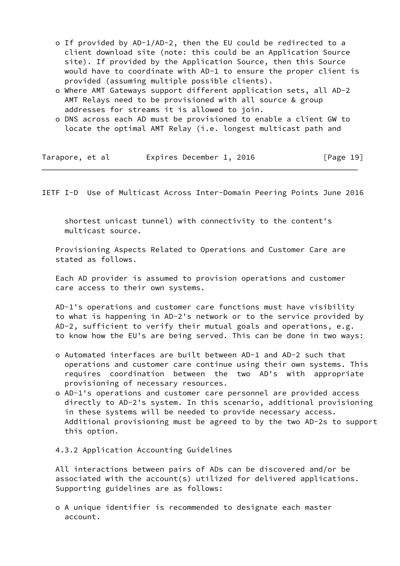- o If provided by AD-1/AD-2, then the EU could be redirected to a client download site (note: this could be an Application Source site). If provided by the Application Source, then this Source would have to coordinate with AD-1 to ensure the proper client is provided (assuming multiple possible clients).
- o Where AMT Gateways support different application sets, all AD-2 AMT Relays need to be provisioned with all source & group addresses for streams it is allowed to join.
- o DNS across each AD must be provisioned to enable a client GW to locate the optimal AMT Relay (i.e. longest multicast path and

|  | Tarapore, et al | Expires December 1, 2016 | [Page 19] |
|--|-----------------|--------------------------|-----------|
|--|-----------------|--------------------------|-----------|

<span id="page-20-0"></span>IETF I-D Use of Multicast Across Inter-Domain Peering Points June 2016

 shortest unicast tunnel) with connectivity to the content's multicast source.

 Provisioning Aspects Related to Operations and Customer Care are stated as follows.

 Each AD provider is assumed to provision operations and customer care access to their own systems.

 AD-1's operations and customer care functions must have visibility to what is happening in AD-2's network or to the service provided by AD-2, sufficient to verify their mutual goals and operations, e.g. to know how the EU's are being served. This can be done in two ways:

- o Automated interfaces are built between AD-1 and AD-2 such that operations and customer care continue using their own systems. This requires coordination between the two AD's with appropriate provisioning of necessary resources.
- o AD-1's operations and customer care personnel are provided access directly to AD-2's system. In this scenario, additional provisioning in these systems will be needed to provide necessary access. Additional provisioning must be agreed to by the two AD-2s to support this option.

4.3.2 Application Accounting Guidelines

 All interactions between pairs of ADs can be discovered and/or be associated with the account(s) utilized for delivered applications. Supporting guidelines are as follows:

 o A unique identifier is recommended to designate each master account.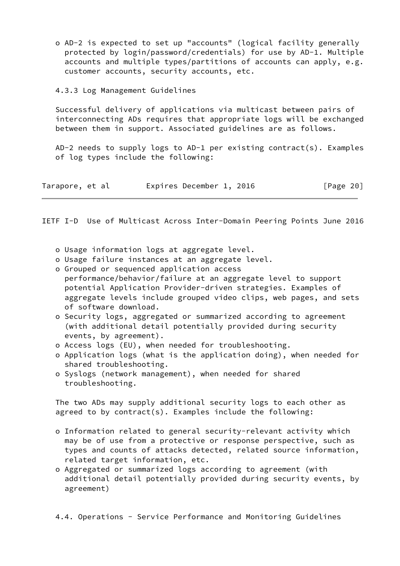o AD-2 is expected to set up "accounts" (logical facility generally protected by login/password/credentials) for use by AD-1. Multiple accounts and multiple types/partitions of accounts can apply, e.g. customer accounts, security accounts, etc.

## 4.3.3 Log Management Guidelines

 Successful delivery of applications via multicast between pairs of interconnecting ADs requires that appropriate logs will be exchanged between them in support. Associated guidelines are as follows.

 AD-2 needs to supply logs to AD-1 per existing contract(s). Examples of log types include the following:

| Tarapore, et al |  |  |  | Expires December 1, 2016 |  |  | [Page 20] |  |
|-----------------|--|--|--|--------------------------|--|--|-----------|--|
|-----------------|--|--|--|--------------------------|--|--|-----------|--|

IETF I-D Use of Multicast Across Inter-Domain Peering Points June 2016

- o Usage information logs at aggregate level.
- o Usage failure instances at an aggregate level.
- o Grouped or sequenced application access
- performance/behavior/failure at an aggregate level to support potential Application Provider-driven strategies. Examples of aggregate levels include grouped video clips, web pages, and sets of software download.
- o Security logs, aggregated or summarized according to agreement (with additional detail potentially provided during security events, by agreement).
- o Access logs (EU), when needed for troubleshooting.
- o Application logs (what is the application doing), when needed for shared troubleshooting.
- o Syslogs (network management), when needed for shared troubleshooting.

 The two ADs may supply additional security logs to each other as agreed to by contract(s). Examples include the following:

- o Information related to general security-relevant activity which may be of use from a protective or response perspective, such as types and counts of attacks detected, related source information, related target information, etc.
- o Aggregated or summarized logs according to agreement (with additional detail potentially provided during security events, by agreement)
- 4.4. Operations Service Performance and Monitoring Guidelines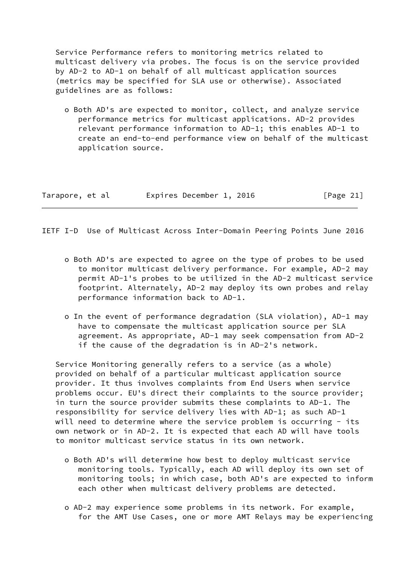Service Performance refers to monitoring metrics related to multicast delivery via probes. The focus is on the service provided by AD-2 to AD-1 on behalf of all multicast application sources (metrics may be specified for SLA use or otherwise). Associated guidelines are as follows:

 o Both AD's are expected to monitor, collect, and analyze service performance metrics for multicast applications. AD-2 provides relevant performance information to AD-1; this enables AD-1 to create an end-to-end performance view on behalf of the multicast application source.

| Tarapore, et al | Expires December 1, 2016 | [Page 21] |
|-----------------|--------------------------|-----------|
|                 |                          |           |

IETF I-D Use of Multicast Across Inter-Domain Peering Points June 2016

- o Both AD's are expected to agree on the type of probes to be used to monitor multicast delivery performance. For example, AD-2 may permit AD-1's probes to be utilized in the AD-2 multicast service footprint. Alternately, AD-2 may deploy its own probes and relay performance information back to AD-1.
- o In the event of performance degradation (SLA violation), AD-1 may have to compensate the multicast application source per SLA agreement. As appropriate, AD-1 may seek compensation from AD-2 if the cause of the degradation is in AD-2's network.

 Service Monitoring generally refers to a service (as a whole) provided on behalf of a particular multicast application source provider. It thus involves complaints from End Users when service problems occur. EU's direct their complaints to the source provider; in turn the source provider submits these complaints to AD-1. The responsibility for service delivery lies with AD-1; as such AD-1 will need to determine where the service problem is occurring - its own network or in AD-2. It is expected that each AD will have tools to monitor multicast service status in its own network.

- o Both AD's will determine how best to deploy multicast service monitoring tools. Typically, each AD will deploy its own set of monitoring tools; in which case, both AD's are expected to inform each other when multicast delivery problems are detected.
- o AD-2 may experience some problems in its network. For example, for the AMT Use Cases, one or more AMT Relays may be experiencing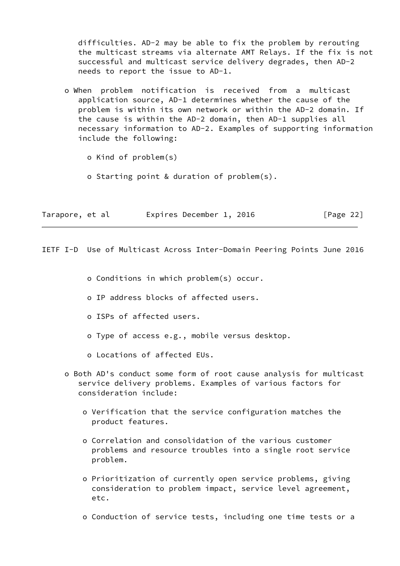difficulties. AD-2 may be able to fix the problem by rerouting the multicast streams via alternate AMT Relays. If the fix is not successful and multicast service delivery degrades, then AD-2 needs to report the issue to AD-1.

 o When problem notification is received from a multicast application source, AD-1 determines whether the cause of the problem is within its own network or within the AD-2 domain. If the cause is within the AD-2 domain, then AD-1 supplies all necessary information to AD-2. Examples of supporting information include the following:

o Kind of problem(s)

o Starting point & duration of problem(s).

Tarapore, et al expires December 1, 2016 [Page 22]

IETF I-D Use of Multicast Across Inter-Domain Peering Points June 2016

o Conditions in which problem(s) occur.

- o IP address blocks of affected users.
- o ISPs of affected users.
- o Type of access e.g., mobile versus desktop.
- o Locations of affected EUs.
- o Both AD's conduct some form of root cause analysis for multicast service delivery problems. Examples of various factors for consideration include:
	- o Verification that the service configuration matches the product features.
	- o Correlation and consolidation of the various customer problems and resource troubles into a single root service problem.
	- o Prioritization of currently open service problems, giving consideration to problem impact, service level agreement, etc.
	- o Conduction of service tests, including one time tests or a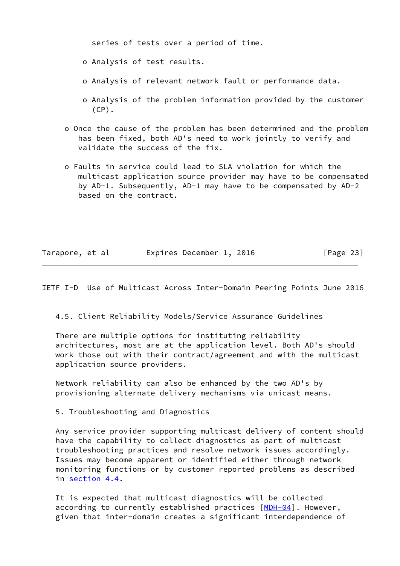series of tests over a period of time.

o Analysis of test results.

- o Analysis of relevant network fault or performance data.
- o Analysis of the problem information provided by the customer  $(CP)$ .
- o Once the cause of the problem has been determined and the problem has been fixed, both AD's need to work jointly to verify and validate the success of the fix.
- o Faults in service could lead to SLA violation for which the multicast application source provider may have to be compensated by AD-1. Subsequently, AD-1 may have to be compensated by AD-2 based on the contract.

| Tarapore, et al |  | Expires December 1, 2016 |  | [Page 23] |  |
|-----------------|--|--------------------------|--|-----------|--|
|                 |  |                          |  |           |  |

<span id="page-24-0"></span>IETF I-D Use of Multicast Across Inter-Domain Peering Points June 2016

4.5. Client Reliability Models/Service Assurance Guidelines

 There are multiple options for instituting reliability architectures, most are at the application level. Both AD's should work those out with their contract/agreement and with the multicast application source providers.

 Network reliability can also be enhanced by the two AD's by provisioning alternate delivery mechanisms via unicast means.

5. Troubleshooting and Diagnostics

 Any service provider supporting multicast delivery of content should have the capability to collect diagnostics as part of multicast troubleshooting practices and resolve network issues accordingly. Issues may become apparent or identified either through network monitoring functions or by customer reported problems as described in section 4.4.

 It is expected that multicast diagnostics will be collected according to currently established practices [\[MDH-04](#page-27-4)]. However, given that inter-domain creates a significant interdependence of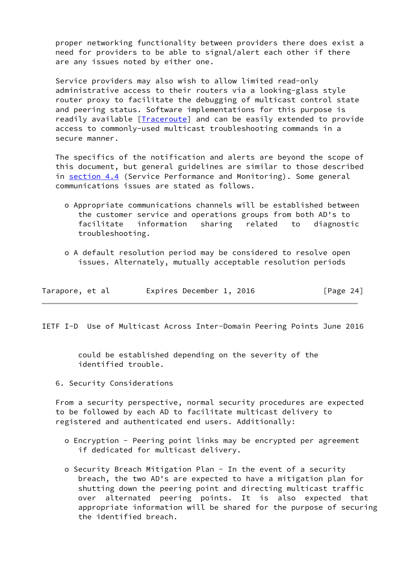proper networking functionality between providers there does exist a need for providers to be able to signal/alert each other if there are any issues noted by either one.

 Service providers may also wish to allow limited read-only administrative access to their routers via a looking-glass style router proxy to facilitate the debugging of multicast control state and peering status. Software implementations for this purpose is readily available [[Traceroute\]](#page-28-0) and can be easily extended to provide access to commonly-used multicast troubleshooting commands in a secure manner.

 The specifics of the notification and alerts are beyond the scope of this document, but general guidelines are similar to those described in section 4.4 (Service Performance and Monitoring). Some general communications issues are stated as follows.

- o Appropriate communications channels will be established between the customer service and operations groups from both AD's to facilitate information sharing related to diagnostic troubleshooting.
- o A default resolution period may be considered to resolve open issues. Alternately, mutually acceptable resolution periods

| Tarapore, et al |  | Expires December 1, 2016 |  |  | [Page 24] |  |
|-----------------|--|--------------------------|--|--|-----------|--|
|-----------------|--|--------------------------|--|--|-----------|--|

<span id="page-25-0"></span>IETF I-D Use of Multicast Across Inter-Domain Peering Points June 2016

 could be established depending on the severity of the identified trouble.

6. Security Considerations

 From a security perspective, normal security procedures are expected to be followed by each AD to facilitate multicast delivery to registered and authenticated end users. Additionally:

- o Encryption Peering point links may be encrypted per agreement if dedicated for multicast delivery.
- o Security Breach Mitigation Plan In the event of a security breach, the two AD's are expected to have a mitigation plan for shutting down the peering point and directing multicast traffic over alternated peering points. It is also expected that appropriate information will be shared for the purpose of securing the identified breach.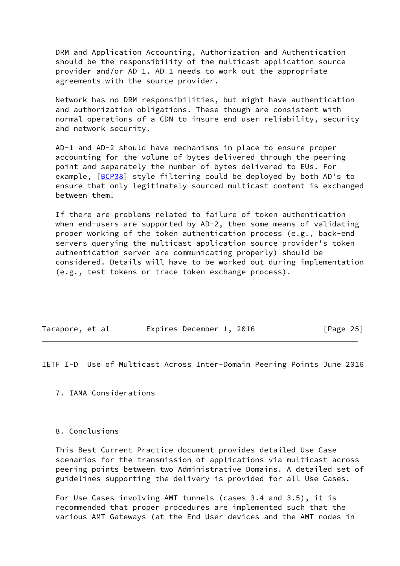DRM and Application Accounting, Authorization and Authentication should be the responsibility of the multicast application source provider and/or AD-1. AD-1 needs to work out the appropriate agreements with the source provider.

 Network has no DRM responsibilities, but might have authentication and authorization obligations. These though are consistent with normal operations of a CDN to insure end user reliability, security and network security.

 AD-1 and AD-2 should have mechanisms in place to ensure proper accounting for the volume of bytes delivered through the peering point and separately the number of bytes delivered to EUs. For example, [\[BCP38\]](#page-27-2) style filtering could be deployed by both AD's to ensure that only legitimately sourced multicast content is exchanged between them.

 If there are problems related to failure of token authentication when end-users are supported by AD-2, then some means of validating proper working of the token authentication process (e.g., back-end servers querying the multicast application source provider's token authentication server are communicating properly) should be considered. Details will have to be worked out during implementation (e.g., test tokens or trace token exchange process).

| Tarapore, et al | Expires December 1, 2016 |  | [Page 25] |  |
|-----------------|--------------------------|--|-----------|--|
|                 |                          |  |           |  |

<span id="page-26-0"></span>IETF I-D Use of Multicast Across Inter-Domain Peering Points June 2016

7. IANA Considerations

## 8. Conclusions

 This Best Current Practice document provides detailed Use Case scenarios for the transmission of applications via multicast across peering points between two Administrative Domains. A detailed set of guidelines supporting the delivery is provided for all Use Cases.

 For Use Cases involving AMT tunnels (cases 3.4 and 3.5), it is recommended that proper procedures are implemented such that the various AMT Gateways (at the End User devices and the AMT nodes in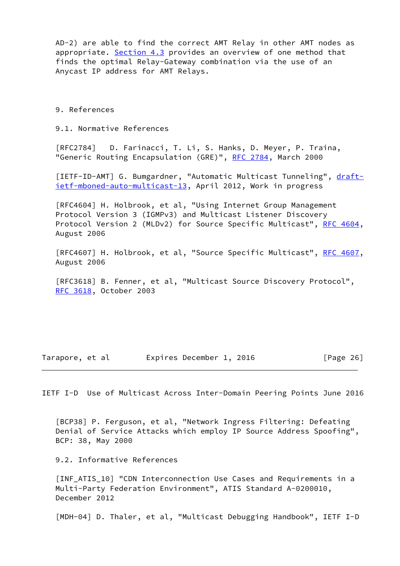AD-2) are able to find the correct AMT Relay in other AMT nodes as appropriate. Section 4.3 provides an overview of one method that finds the optimal Relay-Gateway combination via the use of an Anycast IP address for AMT Relays.

9. References

9.1. Normative References

 [RFC2784] D. Farinacci, T. Li, S. Hanks, D. Meyer, P. Traina, "Generic Routing Encapsulation (GRE)", [RFC 2784,](https://datatracker.ietf.org/doc/pdf/rfc2784) March 2000

<span id="page-27-1"></span>[IETF-ID-AMT] G. Bumgardner, "Automatic Multicast Tunneling", [draft](https://datatracker.ietf.org/doc/pdf/draft-ietf-mboned-auto-multicast-13) [ietf-mboned-auto-multicast-13](https://datatracker.ietf.org/doc/pdf/draft-ietf-mboned-auto-multicast-13), April 2012, Work in progress

 [RFC4604] H. Holbrook, et al, "Using Internet Group Management Protocol Version 3 (IGMPv3) and Multicast Listener Discovery Protocol Version 2 (MLDv2) for Source Specific Multicast", [RFC 4604,](https://datatracker.ietf.org/doc/pdf/rfc4604) August 2006

[RFC4607] H. Holbrook, et al, "Source Specific Multicast", [RFC 4607,](https://datatracker.ietf.org/doc/pdf/rfc4607) August 2006

 [RFC3618] B. Fenner, et al, "Multicast Source Discovery Protocol", [RFC 3618](https://datatracker.ietf.org/doc/pdf/rfc3618), October 2003

Tarapore, et al expires December 1, 2016 [Page 26]

<span id="page-27-0"></span>IETF I-D Use of Multicast Across Inter-Domain Peering Points June 2016

<span id="page-27-2"></span> [BCP38] P. Ferguson, et al, "Network Ingress Filtering: Defeating Denial of Service Attacks which employ IP Source Address Spoofing", BCP: 38, May 2000

9.2. Informative References

<span id="page-27-3"></span> [INF\_ATIS\_10] "CDN Interconnection Use Cases and Requirements in a Multi-Party Federation Environment", ATIS Standard A-0200010, December 2012

<span id="page-27-4"></span>[MDH-04] D. Thaler, et al, "Multicast Debugging Handbook", IETF I-D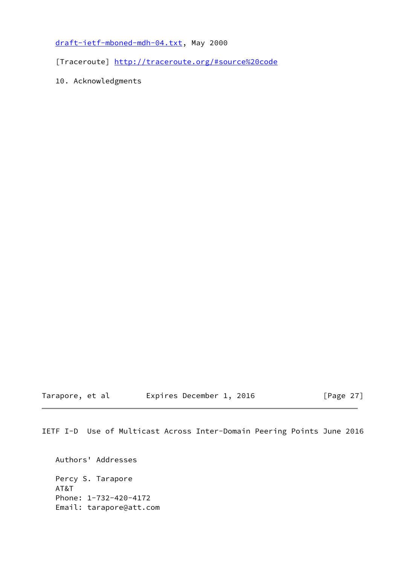[draft-ietf-mboned-mdh-04.txt](https://datatracker.ietf.org/doc/pdf/draft-ietf-mboned-mdh-04.txt), May 2000

<span id="page-28-0"></span>[Traceroute]<http://traceroute.org/#source%20code>

10. Acknowledgments

Tarapore, et al expires December 1, 2016 [Page 27]

IETF I-D Use of Multicast Across Inter-Domain Peering Points June 2016

 Authors' Addresses Percy S. Tarapore AT&T Phone: 1-732-420-4172 Email: tarapore@att.com